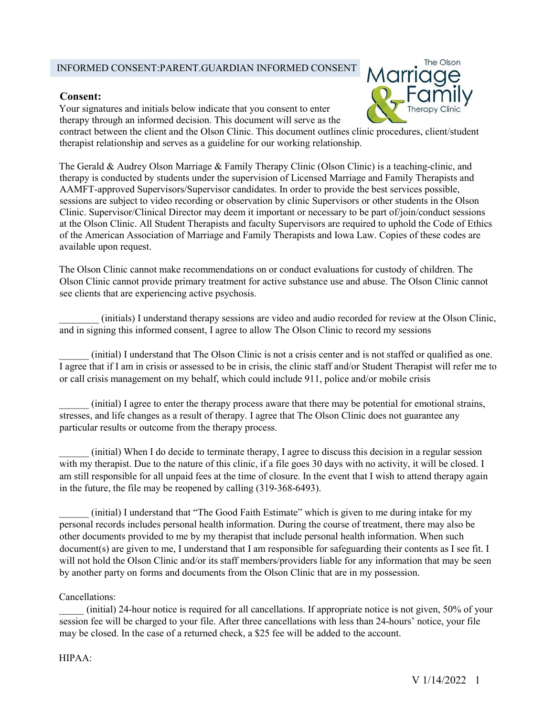#### INFORMED CONSENT:PARENT.GUARDIAN INFORMED CONSENT

## **Consent:**

Your signatures and initials below indicate that you consent to enter therapy through an informed decision. This document will serve as the



contract between the client and the Olson Clinic. This document outlines clinic procedures, client/student therapist relationship and serves as a guideline for our working relationship.

The Gerald & Audrey Olson Marriage & Family Therapy Clinic (Olson Clinic) is a teaching-clinic, and therapy is conducted by students under the supervision of Licensed Marriage and Family Therapists and AAMFT-approved Supervisors/Supervisor candidates. In order to provide the best services possible, sessions are subject to video recording or observation by clinic Supervisors or other students in the Olson Clinic. Supervisor/Clinical Director may deem it important or necessary to be part of/join/conduct sessions at the Olson Clinic. All Student Therapists and faculty Supervisors are required to uphold the Code of Ethics of the American Association of Marriage and Family Therapists and Iowa Law. Copies of these codes are available upon request.

The Olson Clinic cannot make recommendations on or conduct evaluations for custody of children. The Olson Clinic cannot provide primary treatment for active substance use and abuse. The Olson Clinic cannot see clients that are experiencing active psychosis.

\_\_\_\_\_\_\_\_ (initials) I understand therapy sessions are video and audio recorded for review at the Olson Clinic, and in signing this informed consent, I agree to allow The Olson Clinic to record my sessions

\_\_\_\_\_\_ (initial) I understand that The Olson Clinic is not a crisis center and is not staffed or qualified as one. I agree that if I am in crisis or assessed to be in crisis, the clinic staff and/or Student Therapist will refer me to or call crisis management on my behalf, which could include 911, police and/or mobile crisis

\_\_\_\_\_\_ (initial) I agree to enter the therapy process aware that there may be potential for emotional strains, stresses, and life changes as a result of therapy. I agree that The Olson Clinic does not guarantee any particular results or outcome from the therapy process.

\_\_\_\_\_\_ (initial) When I do decide to terminate therapy, I agree to discuss this decision in a regular session with my therapist. Due to the nature of this clinic, if a file goes 30 days with no activity, it will be closed. I am still responsible for all unpaid fees at the time of closure. In the event that I wish to attend therapy again in the future, the file may be reopened by calling (319-368-6493).

\_\_\_\_\_\_ (initial) I understand that "The Good Faith Estimate" which is given to me during intake for my personal records includes personal health information. During the course of treatment, there may also be other documents provided to me by my therapist that include personal health information. When such document(s) are given to me, I understand that I am responsible for safeguarding their contents as I see fit. I will not hold the Olson Clinic and/or its staff members/providers liable for any information that may be seen by another party on forms and documents from the Olson Clinic that are in my possession.

#### Cancellations:

\_\_\_\_\_ (initial) 24-hour notice is required for all cancellations. If appropriate notice is not given, 50% of your session fee will be charged to your file. After three cancellations with less than 24-hours' notice, your file may be closed. In the case of a returned check, a \$25 fee will be added to the account.

#### HIPAA: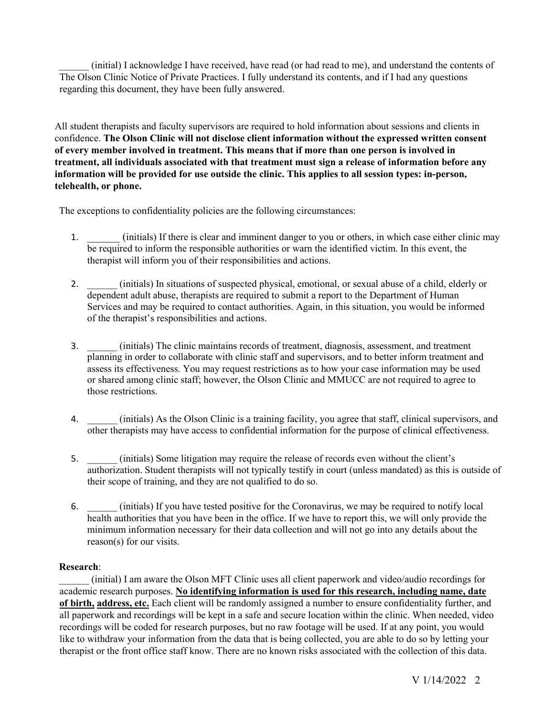\_\_\_\_\_\_ (initial) I acknowledge I have received, have read (or had read to me), and understand the contents of The Olson Clinic Notice of Private Practices. I fully understand its contents, and if I had any questions regarding this document, they have been fully answered.

All student therapists and faculty supervisors are required to hold information about sessions and clients in confidence. **The Olson Clinic will not disclose client information without the expressed written consent of every member involved in treatment. This means that if more than one person is involved in treatment, all individuals associated with that treatment must sign a release of information before any information will be provided for use outside the clinic. This applies to all session types: in-person, telehealth, or phone.** 

The exceptions to confidentiality policies are the following circumstances:

- 1. **Example 1.** (initials) If there is clear and imminent danger to you or others, in which case either clinic may be required to inform the responsible authorities or warn the identified victim. In this event, the therapist will inform you of their responsibilities and actions.
- 2. \_\_\_\_\_\_ (initials) In situations of suspected physical, emotional, or sexual abuse of a child, elderly or dependent adult abuse, therapists are required to submit a report to the Department of Human Services and may be required to contact authorities. Again, in this situation, you would be informed of the therapist's responsibilities and actions.
- 3. \_\_\_\_\_\_ (initials) The clinic maintains records of treatment, diagnosis, assessment, and treatment planning in order to collaborate with clinic staff and supervisors, and to better inform treatment and assess its effectiveness. You may request restrictions as to how your case information may be used or shared among clinic staff; however, the Olson Clinic and MMUCC are not required to agree to those restrictions.
- 4. **Example 1** (initials) As the Olson Clinic is a training facility, you agree that staff, clinical supervisors, and other therapists may have access to confidential information for the purpose of clinical effectiveness.
- 5. \_\_\_\_\_\_ (initials) Some litigation may require the release of records even without the client's authorization. Student therapists will not typically testify in court (unless mandated) as this is outside of their scope of training, and they are not qualified to do so.
- 6. \_\_\_\_\_\_ (initials) If you have tested positive for the Coronavirus, we may be required to notify local health authorities that you have been in the office. If we have to report this, we will only provide the minimum information necessary for their data collection and will not go into any details about the reason(s) for our visits.

## **Research**:

\_\_\_\_\_\_ (initial) I am aware the Olson MFT Clinic uses all client paperwork and video/audio recordings for academic research purposes. **No identifying information is used for this research, including name, date of birth, address, etc.** Each client will be randomly assigned a number to ensure confidentiality further, and all paperwork and recordings will be kept in a safe and secure location within the clinic. When needed, video recordings will be coded for research purposes, but no raw footage will be used. If at any point, you would like to withdraw your information from the data that is being collected, you are able to do so by letting your therapist or the front office staff know. There are no known risks associated with the collection of this data.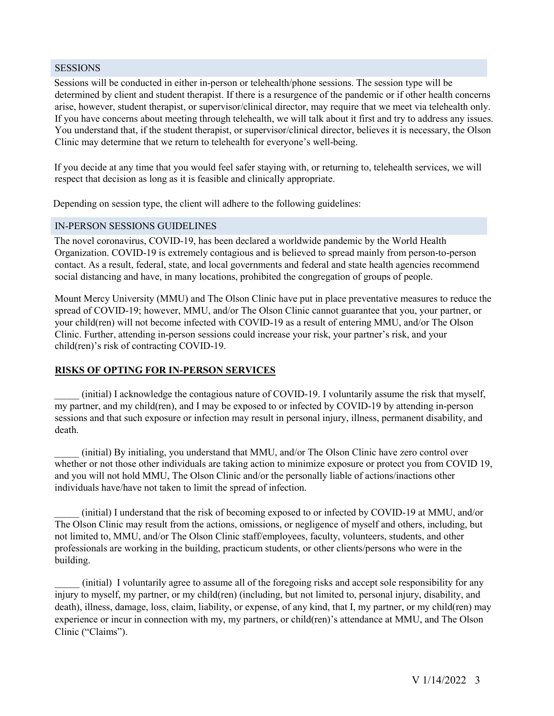#### **SESSIONS**

Sessions will be conducted in either in-person or telehealth/phone sessions. The session type will be determined by client and student therapist. If there is a resurgence of the pandemic or if other health concerns arise, however, student therapist, or supervisor/clinical director, may require that we meet via telehealth only. If you have concerns about meeting through telehealth, we will talk about it first and try to address any issues. You understand that, if the student therapist, or supervisor/clinical director, believes it is necessary, the Olson Clinic may determine that we return to telehealth for everyone's well-being.

If you decide at any time that you would feel safer staying with, or returning to, telehealth services, we will respect that decision as long as it is feasible and clinically appropriate.

Depending on session type, the client will adhere to the following guidelines:

#### IN-PERSON SESSIONS GUIDELINES

The novel coronavirus, COVID-19, has been declared a worldwide pandemic by the World Health Organization. COVID-19 is extremely contagious and is believed to spread mainly from person-to-person contact. As a result, federal, state, and local governments and federal and state health agencies recommend social distancing and have, in many locations, prohibited the congregation of groups of people.

Mount Mercy University (MMU) and The Olson Clinic have put in place preventative measures to reduce the spread of COVID-19; however, MMU, and/or The Olson Clinic cannot guarantee that you, your partner, or your child(ren) will not become infected with COVID-19 as a result of entering MMU, and/or The Olson Clinic. Further, attending in-person sessions could increase your risk, your partner's risk, and your child(ren)'s risk of contracting COVID-19.

#### **RISKS OF OPTING FOR IN-PERSON SERVICES**

\_\_\_\_\_ (initial) I acknowledge the contagious nature of COVID-19. I voluntarily assume the risk that myself, my partner, and my child(ren), and I may be exposed to or infected by COVID-19 by attending in-person sessions and that such exposure or infection may result in personal injury, illness, permanent disability, and death.

\_\_\_\_\_ (initial) By initialing, you understand that MMU, and/or The Olson Clinic have zero control over whether or not those other individuals are taking action to minimize exposure or protect you from COVID 19, and you will not hold MMU, The Olson Clinic and/or the personally liable of actions/inactions other individuals have/have not taken to limit the spread of infection.

\_\_\_\_\_ (initial) I understand that the risk of becoming exposed to or infected by COVID-19 at MMU, and/or The Olson Clinic may result from the actions, omissions, or negligence of myself and others, including, but not limited to, MMU, and/or The Olson Clinic staff/employees, faculty, volunteers, students, and other professionals are working in the building, practicum students, or other clients/persons who were in the building.

\_\_\_\_\_ (initial) I voluntarily agree to assume all of the foregoing risks and accept sole responsibility for any injury to myself, my partner, or my child(ren) (including, but not limited to, personal injury, disability, and death), illness, damage, loss, claim, liability, or expense, of any kind, that I, my partner, or my child(ren) may experience or incur in connection with my, my partners, or child(ren)'s attendance at MMU, and The Olson Clinic ("Claims").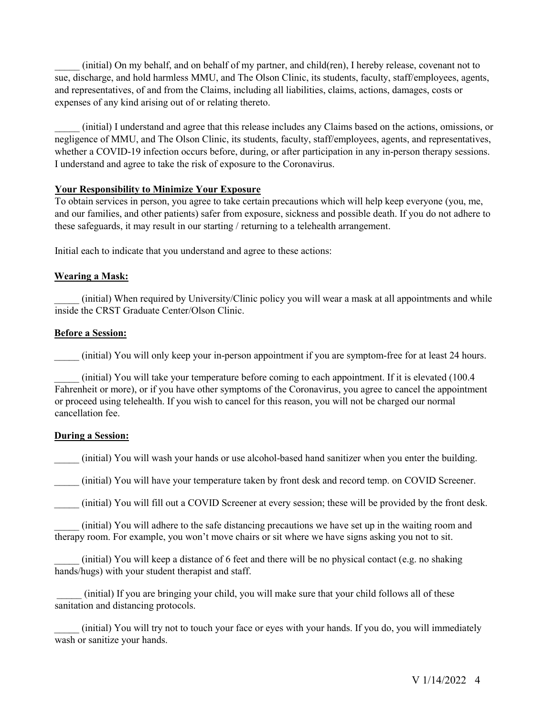\_\_\_\_\_ (initial) On my behalf, and on behalf of my partner, and child(ren), I hereby release, covenant not to sue, discharge, and hold harmless MMU, and The Olson Clinic, its students, faculty, staff/employees, agents, and representatives, of and from the Claims, including all liabilities, claims, actions, damages, costs or expenses of any kind arising out of or relating thereto.

\_\_\_\_\_ (initial) I understand and agree that this release includes any Claims based on the actions, omissions, or negligence of MMU, and The Olson Clinic, its students, faculty, staff/employees, agents, and representatives, whether a COVID-19 infection occurs before, during, or after participation in any in-person therapy sessions. I understand and agree to take the risk of exposure to the Coronavirus.

## **Your Responsibility to Minimize Your Exposure**

To obtain services in person, you agree to take certain precautions which will help keep everyone (you, me, and our families, and other patients) safer from exposure, sickness and possible death. If you do not adhere to these safeguards, it may result in our starting / returning to a telehealth arrangement.

Initial each to indicate that you understand and agree to these actions:

## **Wearing a Mask:**

(initial) When required by University/Clinic policy you will wear a mask at all appointments and while inside the CRST Graduate Center/Olson Clinic.

## **Before a Session:**

\_\_\_\_\_ (initial) You will only keep your in-person appointment if you are symptom-free for at least 24 hours.

(initial) You will take your temperature before coming to each appointment. If it is elevated (100.4) Fahrenheit or more), or if you have other symptoms of the Coronavirus, you agree to cancel the appointment or proceed using telehealth. If you wish to cancel for this reason, you will not be charged our normal cancellation fee.

## **During a Session:**

\_\_\_\_\_ (initial) You will wash your hands or use alcohol-based hand sanitizer when you enter the building.

\_\_\_\_\_ (initial) You will have your temperature taken by front desk and record temp. on COVID Screener.

\_\_\_\_\_ (initial) You will fill out a COVID Screener at every session; these will be provided by the front desk.

\_\_\_\_\_ (initial) You will adhere to the safe distancing precautions we have set up in the waiting room and therapy room. For example, you won't move chairs or sit where we have signs asking you not to sit.

 $(i$ nitial) You will keep a distance of 6 feet and there will be no physical contact (e.g. no shaking hands/hugs) with your student therapist and staff.

\_\_\_\_\_ (initial) If you are bringing your child, you will make sure that your child follows all of these sanitation and distancing protocols.

\_\_\_\_\_ (initial) You will try not to touch your face or eyes with your hands. If you do, you will immediately wash or sanitize your hands.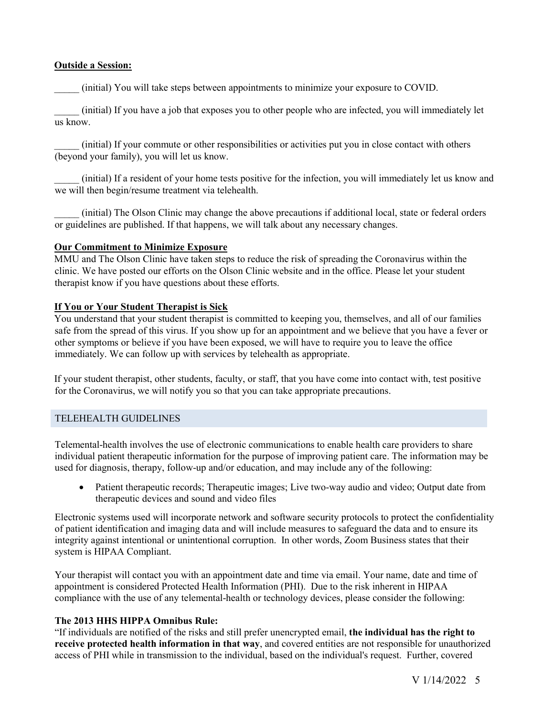#### **Outside a Session:**

\_\_\_\_\_ (initial) You will take steps between appointments to minimize your exposure to COVID.

\_\_\_\_\_ (initial) If you have a job that exposes you to other people who are infected, you will immediately let us know.

\_\_\_\_\_ (initial) If your commute or other responsibilities or activities put you in close contact with others (beyond your family), you will let us know.

\_\_\_\_\_ (initial) If a resident of your home tests positive for the infection, you will immediately let us know and we will then begin/resume treatment via telehealth.

\_\_\_\_\_ (initial) The Olson Clinic may change the above precautions if additional local, state or federal orders or guidelines are published. If that happens, we will talk about any necessary changes.

#### **Our Commitment to Minimize Exposure**

MMU and The Olson Clinic have taken steps to reduce the risk of spreading the Coronavirus within the clinic. We have posted our efforts on the Olson Clinic website and in the office. Please let your student therapist know if you have questions about these efforts.

#### **If You or Your Student Therapist is Sick**

You understand that your student therapist is committed to keeping you, themselves, and all of our families safe from the spread of this virus. If you show up for an appointment and we believe that you have a fever or other symptoms or believe if you have been exposed, we will have to require you to leave the office immediately. We can follow up with services by telehealth as appropriate.

If your student therapist, other students, faculty, or staff, that you have come into contact with, test positive for the Coronavirus, we will notify you so that you can take appropriate precautions.

#### TELEHEALTH GUIDELINES

Telemental-health involves the use of electronic communications to enable health care providers to share individual patient therapeutic information for the purpose of improving patient care. The information may be used for diagnosis, therapy, follow-up and/or education, and may include any of the following:

• Patient therapeutic records; Therapeutic images; Live two-way audio and video; Output date from therapeutic devices and sound and video files

Electronic systems used will incorporate network and software security protocols to protect the confidentiality of patient identification and imaging data and will include measures to safeguard the data and to ensure its integrity against intentional or unintentional corruption. In other words, Zoom Business states that their system is HIPAA Compliant.

Your therapist will contact you with an appointment date and time via email. Your name, date and time of appointment is considered Protected Health Information (PHI). Due to the risk inherent in HIPAA compliance with the use of any telemental-health or technology devices, please consider the following:

#### **The 2013 HHS HIPPA Omnibus Rule:**

"If individuals are notified of the risks and still prefer unencrypted email, **the individual has the right to receive protected health information in that way**, and covered entities are not responsible for unauthorized access of PHI while in transmission to the individual, based on the individual's request. Further, covered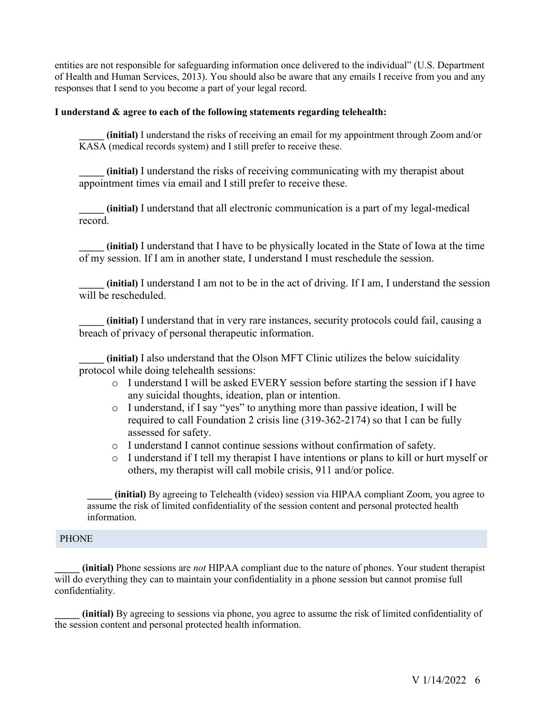entities are not responsible for safeguarding information once delivered to the individual" (U.S. Department of Health and Human Services, 2013). You should also be aware that any emails I receive from you and any responses that I send to you become a part of your legal record.

#### **I understand & agree to each of the following statements regarding telehealth:**

**\_\_\_\_\_ (initial)** I understand the risks of receiving an email for my appointment through Zoom and/or KASA (medical records system) and I still prefer to receive these.

**\_\_\_\_\_ (initial)** I understand the risks of receiving communicating with my therapist about appointment times via email and I still prefer to receive these.

**\_\_\_\_\_ (initial)** I understand that all electronic communication is a part of my legal-medical record.

**\_\_\_\_\_ (initial)** I understand that I have to be physically located in the State of Iowa at the time of my session. If I am in another state, I understand I must reschedule the session.

**\_\_\_\_\_ (initial)** I understand I am not to be in the act of driving. If I am, I understand the session will be rescheduled.

**\_\_\_\_\_ (initial)** I understand that in very rare instances, security protocols could fail, causing a breach of privacy of personal therapeutic information.

**\_\_\_\_\_ (initial)** I also understand that the Olson MFT Clinic utilizes the below suicidality protocol while doing telehealth sessions:

- o I understand I will be asked EVERY session before starting the session if I have any suicidal thoughts, ideation, plan or intention.
- o I understand, if I say "yes" to anything more than passive ideation, I will be required to call Foundation 2 crisis line (319-362-2174) so that I can be fully assessed for safety.
- o I understand I cannot continue sessions without confirmation of safety.
- o I understand if I tell my therapist I have intentions or plans to kill or hurt myself or others, my therapist will call mobile crisis, 911 and/or police.

**\_\_\_\_\_ (initial)** By agreeing to Telehealth (video) session via HIPAA compliant Zoom, you agree to assume the risk of limited confidentiality of the session content and personal protected health information.

#### **PHONE**

**\_\_\_\_\_ (initial)** Phone sessions are *not* HIPAA compliant due to the nature of phones. Your student therapist will do everything they can to maintain your confidentiality in a phone session but cannot promise full confidentiality.

**\_\_\_\_\_ (initial)** By agreeing to sessions via phone, you agree to assume the risk of limited confidentiality of the session content and personal protected health information.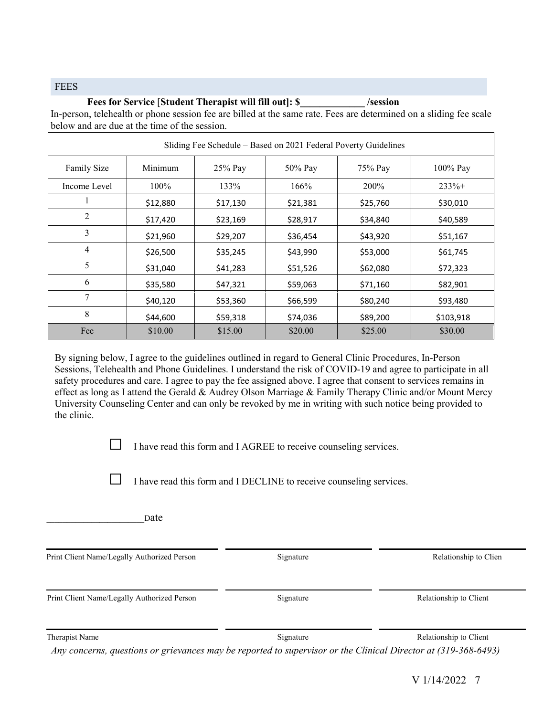#### **FEES**

## **Fees for Service** [**Student Therapist will fill out]: \$\_\_\_\_\_\_\_\_\_\_\_\_\_ /session**

In-person, telehealth or phone session fee are billed at the same rate. Fees are determined on a sliding fee scale below and are due at the time of the session.

| Sliding Fee Schedule – Based on 2021 Federal Poverty Guidelines |          |          |          |          |           |  |  |  |
|-----------------------------------------------------------------|----------|----------|----------|----------|-----------|--|--|--|
| Family Size                                                     | Minimum  | 50% Pay  | 75% Pay  | 100% Pay |           |  |  |  |
| Income Level                                                    | 100%     | 133%     | 166%     | 200%     | $233\% +$ |  |  |  |
| 1                                                               | \$12,880 | \$17,130 | \$21,381 | \$25,760 | \$30,010  |  |  |  |
| $\overline{2}$                                                  | \$17,420 | \$23,169 | \$28,917 | \$34,840 | \$40,589  |  |  |  |
| 3                                                               | \$21,960 | \$29,207 | \$36,454 | \$43,920 | \$51,167  |  |  |  |
| $\overline{4}$                                                  | \$26,500 | \$35,245 | \$43,990 | \$53,000 | \$61,745  |  |  |  |
| 5                                                               | \$31,040 | \$41,283 | \$51,526 | \$62,080 | \$72,323  |  |  |  |
| 6                                                               | \$35,580 | \$47,321 | \$59,063 | \$71,160 | \$82,901  |  |  |  |
| 7                                                               | \$40,120 | \$53,360 | \$66,599 | \$80,240 | \$93,480  |  |  |  |
| 8                                                               | \$44,600 | \$59,318 | \$74,036 | \$89,200 | \$103,918 |  |  |  |
| Fee                                                             | \$10.00  | \$15.00  | \$20.00  | \$25.00  | \$30.00   |  |  |  |

By signing below, I agree to the guidelines outlined in regard to General Clinic Procedures, In-Person Sessions, Telehealth and Phone Guidelines. I understand the risk of COVID-19 and agree to participate in all safety procedures and care. I agree to pay the fee assigned above. I agree that consent to services remains in effect as long as I attend the Gerald & Audrey Olson Marriage & Family Therapy Clinic and/or Mount Mercy University Counseling Center and can only be revoked by me in writing with such notice being provided to the clinic.

 $\Box$  I have read this form and I AGREE to receive counseling services.

 $\Box$  I have read this form and I DECLINE to receive counseling services.

Date

Print Client Name/Legally Authorized Person Signature Signature Relationship to Clien

Print Client Name/Legally Authorized Person Signature Signature Relationship to Client

Therapist Name Signature Signature Relationship to Client

*Any concerns, questions or grievances may be reported to supervisor or the Clinical Director at (319-368-6493)*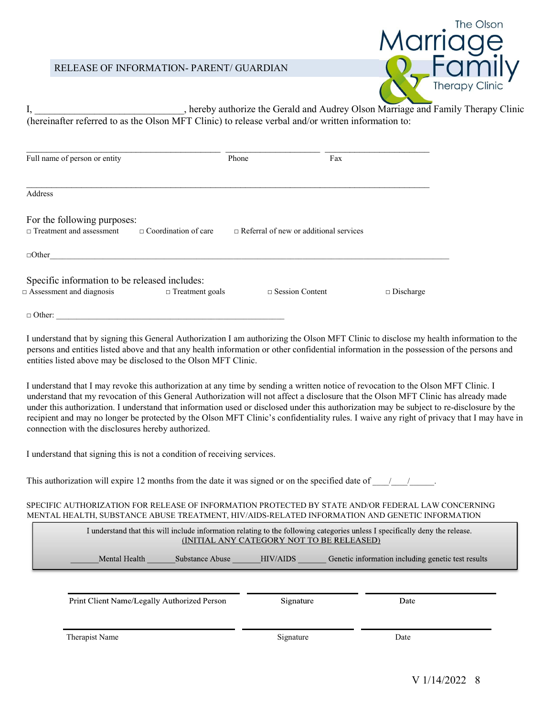#### RELEASE OF INFORMATION- PARENT/ GUARDIAN



| , hereby authorize the Gerald and Audrey Olson Marriage and Family Therapy Clinic                  |
|----------------------------------------------------------------------------------------------------|
| (hereinafter referred to as the Olson MFT Clinic) to release verbal and/or written information to: |

| Full name of person or entity                                                                         | Phone                                         | Fax              |
|-------------------------------------------------------------------------------------------------------|-----------------------------------------------|------------------|
| Address                                                                                               |                                               |                  |
| For the following purposes:<br>$\Box$ Treatment and assessment<br>$\Box$ Coordination of care         | $\Box$ Referral of new or additional services |                  |
| $\Box$ Other                                                                                          |                                               |                  |
| Specific information to be released includes:<br>□ Assessment and diagnosis<br>$\Box$ Treatment goals | $\Box$ Session Content                        | $\Box$ Discharge |
| $\Box$ Other:                                                                                         |                                               |                  |

I understand that by signing this General Authorization I am authorizing the Olson MFT Clinic to disclose my health information to the persons and entities listed above and that any health information or other confidential information in the possession of the persons and entities listed above may be disclosed to the Olson MFT Clinic.

I understand that I may revoke this authorization at any time by sending a written notice of revocation to the Olson MFT Clinic. I understand that my revocation of this General Authorization will not affect a disclosure that the Olson MFT Clinic has already made under this authorization. I understand that information used or disclosed under this authorization may be subject to re-disclosure by the recipient and may no longer be protected by the Olson MFT Clinic's confidentiality rules. I waive any right of privacy that I may have in connection with the disclosures hereby authorized.

I understand that signing this is not a condition of receiving services.

This authorization will expire 12 months from the date it was signed or on the specified date of  $\frac{1}{\sqrt{2}}$ .

SPECIFIC AUTHORIZATION FOR RELEASE OF INFORMATION PROTECTED BY STATE AND/OR FEDERAL LAW CONCERNING MENTAL HEALTH, SUBSTANCE ABUSE TREATMENT, HIV/AIDS-RELATED INFORMATION AND GENETIC INFORMATION

| I understand that this will include information relating to the following categories unless I specifically deny the release.<br>(INITIAL ANY CATEGORY NOT TO BE RELEASED) |  |  |  |  |  |  |  |
|---------------------------------------------------------------------------------------------------------------------------------------------------------------------------|--|--|--|--|--|--|--|
| Genetic information including genetic test results<br>Mental Health<br>Substance Abuse<br>HIV/AIDS                                                                        |  |  |  |  |  |  |  |
|                                                                                                                                                                           |  |  |  |  |  |  |  |

Print Client Name/Legally Authorized Person

Signature

Date

Therapist Name Date Signature Signature Date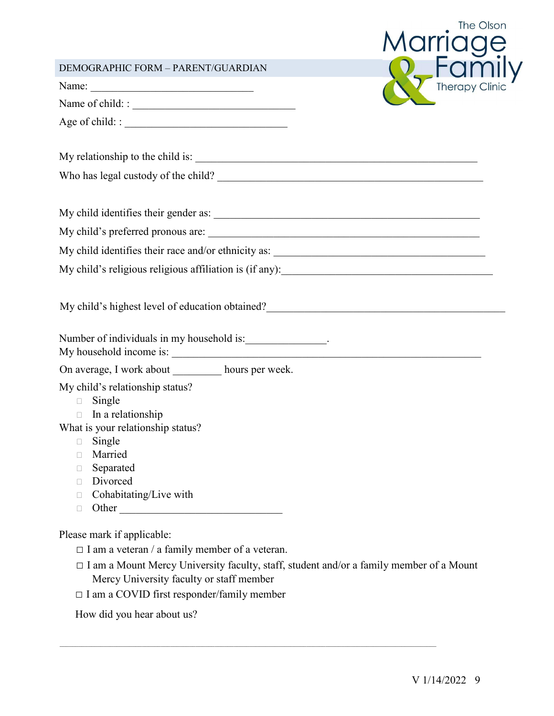|                                                                                                                                                                                                                                                                                     | The Olson             |
|-------------------------------------------------------------------------------------------------------------------------------------------------------------------------------------------------------------------------------------------------------------------------------------|-----------------------|
|                                                                                                                                                                                                                                                                                     | Marriage              |
| DEMOGRAPHIC FORM - PARENT/GUARDIAN                                                                                                                                                                                                                                                  |                       |
| Name: $\frac{1}{\sqrt{1-\frac{1}{2}} \cdot \frac{1}{2}}$                                                                                                                                                                                                                            | <b>Therapy Clinic</b> |
| Name of child: :                                                                                                                                                                                                                                                                    |                       |
|                                                                                                                                                                                                                                                                                     |                       |
|                                                                                                                                                                                                                                                                                     |                       |
|                                                                                                                                                                                                                                                                                     |                       |
|                                                                                                                                                                                                                                                                                     |                       |
|                                                                                                                                                                                                                                                                                     |                       |
|                                                                                                                                                                                                                                                                                     |                       |
|                                                                                                                                                                                                                                                                                     |                       |
| My child's highest level of education obtained?<br><u>Letting and the contract of the contract of the contract of the contract of the contract of the contract of the contract of the contract of the contract of the contract of </u><br>Number of individuals in my household is: |                       |
| On average, I work about ________ hours per week.                                                                                                                                                                                                                                   |                       |
| My child's relationship status?<br>Single<br>$\Box$<br>In a relationship<br>$\Box$<br>What is your relationship status?<br>Single<br>п<br>Married<br>□<br>Separated<br>O.<br>Divorced<br>0<br>Cohabitating/Live with<br>$\Box$<br>$\Box$                                            |                       |
| Please mark if applicable:                                                                                                                                                                                                                                                          |                       |
| $\Box$ I am a veteran / a family member of a veteran.                                                                                                                                                                                                                               |                       |
| □ I am a Mount Mercy University faculty, staff, student and/or a family member of a Mount                                                                                                                                                                                           |                       |

Mercy University faculty or staff member

 $\Box$  I am a COVID first responder/family member

 $\mathcal{L} = \{ \mathcal{L} = \{ \mathcal{L} = \{ \mathcal{L} = \{ \mathcal{L} = \{ \mathcal{L} = \{ \mathcal{L} = \{ \mathcal{L} = \{ \mathcal{L} = \{ \mathcal{L} = \{ \mathcal{L} = \{ \mathcal{L} = \{ \mathcal{L} = \{ \mathcal{L} = \{ \mathcal{L} = \{ \mathcal{L} = \{ \mathcal{L} = \{ \mathcal{L} = \{ \mathcal{L} = \{ \mathcal{L} = \{ \mathcal{L} = \{ \mathcal{L} = \{ \mathcal{L} = \{ \mathcal{L} = \{ \mathcal{$ 

How did you hear about us?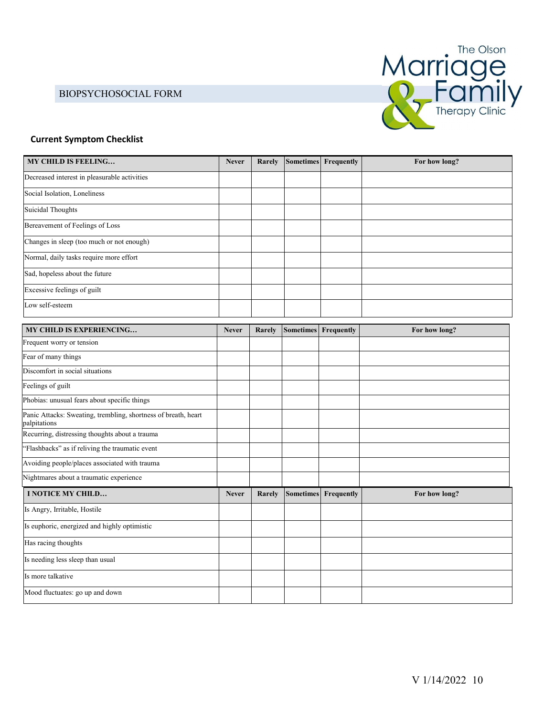#### BIOPSYCHOSOCIAL FORM



#### **Current Symptom Checklist**

| <b>MY CHILD IS FEELING</b>                                                     | <b>Never</b> | Rarely |                  | Sometimes Frequently | For how long? |
|--------------------------------------------------------------------------------|--------------|--------|------------------|----------------------|---------------|
| Decreased interest in pleasurable activities                                   |              |        |                  |                      |               |
| Social Isolation, Loneliness                                                   |              |        |                  |                      |               |
| <b>Suicidal Thoughts</b>                                                       |              |        |                  |                      |               |
| Bereavement of Feelings of Loss                                                |              |        |                  |                      |               |
| Changes in sleep (too much or not enough)                                      |              |        |                  |                      |               |
| Normal, daily tasks require more effort                                        |              |        |                  |                      |               |
| Sad, hopeless about the future                                                 |              |        |                  |                      |               |
| Excessive feelings of guilt                                                    |              |        |                  |                      |               |
| Low self-esteem                                                                |              |        |                  |                      |               |
| <b>MY CHILD IS EXPERIENCING</b>                                                | <b>Never</b> | Rarely | <b>Sometimes</b> | Frequently           | For how long? |
| Frequent worry or tension                                                      |              |        |                  |                      |               |
| Fear of many things                                                            |              |        |                  |                      |               |
| Discomfort in social situations                                                |              |        |                  |                      |               |
| Feelings of guilt                                                              |              |        |                  |                      |               |
| Phobias: unusual fears about specific things                                   |              |        |                  |                      |               |
| Panic Attacks: Sweating, trembling, shortness of breath, heart<br>palpitations |              |        |                  |                      |               |
| Recurring, distressing thoughts about a trauma                                 |              |        |                  |                      |               |
| 'Flashbacks" as if reliving the traumatic event                                |              |        |                  |                      |               |
| Avoiding people/places associated with trauma                                  |              |        |                  |                      |               |
| Nightmares about a traumatic experience                                        |              |        |                  |                      |               |
| <b>I NOTICE MY CHILD</b>                                                       | <b>Never</b> | Rarely | <b>Sometimes</b> | Frequently           | For how long? |
| Is Angry, Irritable, Hostile                                                   |              |        |                  |                      |               |
| Is euphoric, energized and highly optimistic                                   |              |        |                  |                      |               |
| Has racing thoughts                                                            |              |        |                  |                      |               |
| Is needing less sleep than usual                                               |              |        |                  |                      |               |
| Is more talkative                                                              |              |        |                  |                      |               |
| Mood fluctuates: go up and down                                                |              |        |                  |                      |               |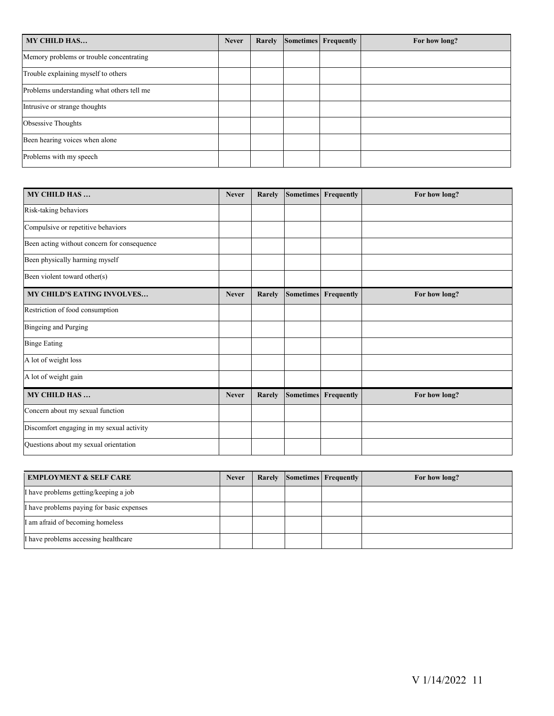| <b>MY CHILD HAS</b>                        | <b>Never</b> | <b>Rarely</b> | Sometimes Frequently | For how long? |
|--------------------------------------------|--------------|---------------|----------------------|---------------|
| Memory problems or trouble concentrating   |              |               |                      |               |
| Trouble explaining myself to others        |              |               |                      |               |
| Problems understanding what others tell me |              |               |                      |               |
| Intrusive or strange thoughts              |              |               |                      |               |
| Obsessive Thoughts                         |              |               |                      |               |
| Been hearing voices when alone             |              |               |                      |               |
| Problems with my speech                    |              |               |                      |               |

| <b>MY CHILD HAS</b>                         | <b>Never</b> | Rarely | <b>Sometimes</b> | Frequently           | For how long? |
|---------------------------------------------|--------------|--------|------------------|----------------------|---------------|
| Risk-taking behaviors                       |              |        |                  |                      |               |
| Compulsive or repetitive behaviors          |              |        |                  |                      |               |
| Been acting without concern for consequence |              |        |                  |                      |               |
| Been physically harming myself              |              |        |                  |                      |               |
| Been violent toward other(s)                |              |        |                  |                      |               |
| <b>MY CHILD'S EATING INVOLVES</b>           | <b>Never</b> | Rarely | <b>Sometimes</b> | Frequently           | For how long? |
| Restriction of food consumption             |              |        |                  |                      |               |
| <b>Bingeing and Purging</b>                 |              |        |                  |                      |               |
| <b>Binge Eating</b>                         |              |        |                  |                      |               |
| A lot of weight loss                        |              |        |                  |                      |               |
| A lot of weight gain                        |              |        |                  |                      |               |
| <b>MY CHILD HAS</b>                         | <b>Never</b> | Rarely |                  | Sometimes Frequently | For how long? |
| Concern about my sexual function            |              |        |                  |                      |               |
| Discomfort engaging in my sexual activity   |              |        |                  |                      |               |
| Questions about my sexual orientation       |              |        |                  |                      |               |

| <b>EMPLOYMENT &amp; SELF CARE</b>         | <b>Never</b> | Rarely | Sometimes Frequently | For how long? |
|-------------------------------------------|--------------|--------|----------------------|---------------|
| I have problems getting/keeping a job     |              |        |                      |               |
| I have problems paying for basic expenses |              |        |                      |               |
| I am afraid of becoming homeless          |              |        |                      |               |
| I have problems accessing healthcare      |              |        |                      |               |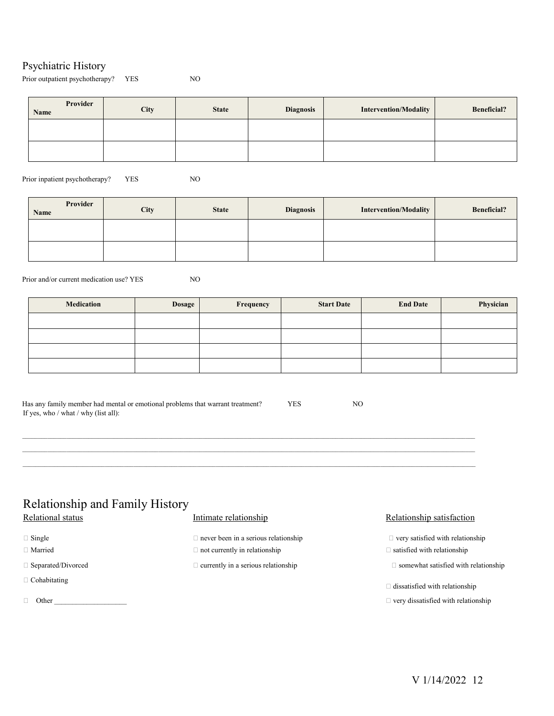## Psychiatric History

Prior outpatient psychotherapy? YES NO

| Provider<br>Name | <b>City</b> | <b>State</b> | <b>Diagnosis</b> | Intervention/Modality | <b>Beneficial?</b> |
|------------------|-------------|--------------|------------------|-----------------------|--------------------|
|                  |             |              |                  |                       |                    |
|                  |             |              |                  |                       |                    |

Prior inpatient psychotherapy? YES NO

| Provider<br>Name | City | <b>State</b> | <b>Diagnosis</b> | Intervention/Modality | <b>Beneficial?</b> |
|------------------|------|--------------|------------------|-----------------------|--------------------|
|                  |      |              |                  |                       |                    |
|                  |      |              |                  |                       |                    |

Prior and/or current medication use? YES NO

| Medication | <b>Dosage</b> | Frequency | <b>Start Date</b> | <b>End Date</b> | Physician |
|------------|---------------|-----------|-------------------|-----------------|-----------|
|            |               |           |                   |                 |           |
|            |               |           |                   |                 |           |
|            |               |           |                   |                 |           |
|            |               |           |                   |                 |           |

 $\_$  ,  $\_$  ,  $\_$  ,  $\_$  ,  $\_$  ,  $\_$  ,  $\_$  ,  $\_$  ,  $\_$  ,  $\_$  ,  $\_$  ,  $\_$  ,  $\_$  ,  $\_$  ,  $\_$  ,  $\_$  ,  $\_$  ,  $\_$  ,  $\_$  ,  $\_$  ,  $\_$  ,  $\_$  ,  $\_$  ,  $\_$  ,  $\_$  ,  $\_$  ,  $\_$  ,  $\_$  ,  $\_$  ,  $\_$  ,  $\_$  ,  $\_$  ,  $\_$  ,  $\_$  ,  $\_$  ,  $\_$  ,  $\_$  ,  $\_$  ,  $\_$  ,  $\_$  ,  $\_$  ,  $\_$  ,  $\_$  ,  $\_$  ,  $\_$  ,  $\_$  ,  $\_$  ,  $\_$  ,  $\_$  ,  $\_$  ,  $\_$  ,  $\_$  ,  $\_$  ,  $\_$  ,  $\_$  ,  $\_$  ,  $\_$  ,  $\_$  ,  $\_$  ,  $\_$  ,  $\_$  ,  $\_$  ,  $\_$  ,  $\_$  ,  $\_$  ,  $\_$  ,  $\_$  ,  $\_$  ,  $\_$  ,  $\_$  ,  $\_$  ,  $\_$  ,  $\_$  ,  $\_$  ,  $\mathcal{L}_\mathcal{L} = \mathcal{L}_\mathcal{L} = \mathcal{L}_\mathcal{L} = \mathcal{L}_\mathcal{L} = \mathcal{L}_\mathcal{L} = \mathcal{L}_\mathcal{L} = \mathcal{L}_\mathcal{L} = \mathcal{L}_\mathcal{L} = \mathcal{L}_\mathcal{L} = \mathcal{L}_\mathcal{L} = \mathcal{L}_\mathcal{L} = \mathcal{L}_\mathcal{L} = \mathcal{L}_\mathcal{L} = \mathcal{L}_\mathcal{L} = \mathcal{L}_\mathcal{L} = \mathcal{L}_\mathcal{L} = \mathcal{L}_\mathcal{L}$ 

Has any family member had mental or emotional problems that warrant treatment? YES NO If yes, who / what / why (list all):

# Relationship and Family History

Relational status Intimate relationship Relationship satisfaction

- 
- 
- 

- $\Box$  Single  $\Box$  never been in a serious relationship  $\Box$  very satisfied with relationship
- $\Box$  Married  $\Box$  not currently in relationship  $\Box$  satisfied with relationship
- $\Box$  Separated/Divorced  $\Box$  currently in a serious relationship  $\Box$  somewhat satisfied with relationship
- $\Box$  Cohabitating  $\Box$  dissatisfied with relationship
- Other \_\_\_\_\_\_\_\_\_\_\_\_\_\_\_\_\_\_\_\_ very dissatisfied with relationship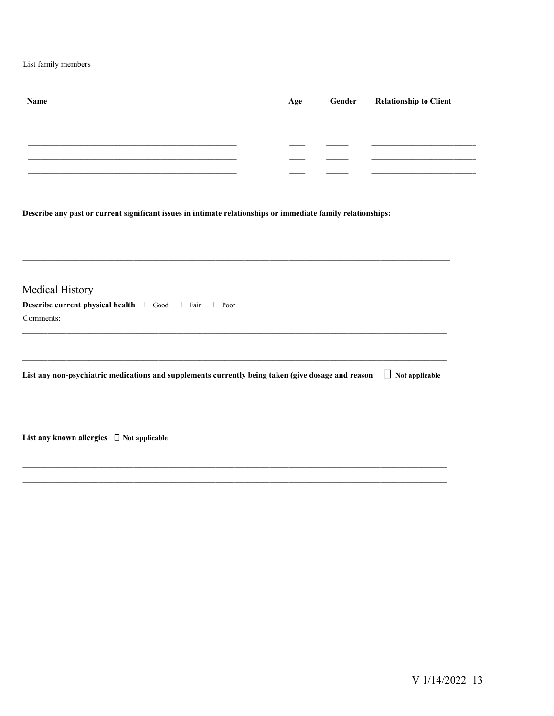List family members

| <b>Name</b>                                                                                                  | Age | Gender | <b>Relationship to Client</b> |
|--------------------------------------------------------------------------------------------------------------|-----|--------|-------------------------------|
|                                                                                                              |     |        |                               |
|                                                                                                              |     |        |                               |
|                                                                                                              |     |        |                               |
| Describe any past or current significant issues in intimate relationships or immediate family relationships: |     |        |                               |
|                                                                                                              |     |        |                               |
|                                                                                                              |     |        |                               |
|                                                                                                              |     |        |                               |
| Medical History                                                                                              |     |        |                               |
| Describe current physical health $\Box$ Good<br>$\Box$ Fair<br>$\Box$ Poor                                   |     |        |                               |
| Comments:                                                                                                    |     |        |                               |
|                                                                                                              |     |        |                               |
|                                                                                                              |     |        |                               |
| List any non-psychiatric medications and supplements currently being taken (give dosage and reason           |     |        | $\Box$ Not applicable         |
|                                                                                                              |     |        |                               |
|                                                                                                              |     |        |                               |
| List any known allergies $\Box$ Not applicable                                                               |     |        |                               |
|                                                                                                              |     |        |                               |
|                                                                                                              |     |        |                               |
|                                                                                                              |     |        |                               |